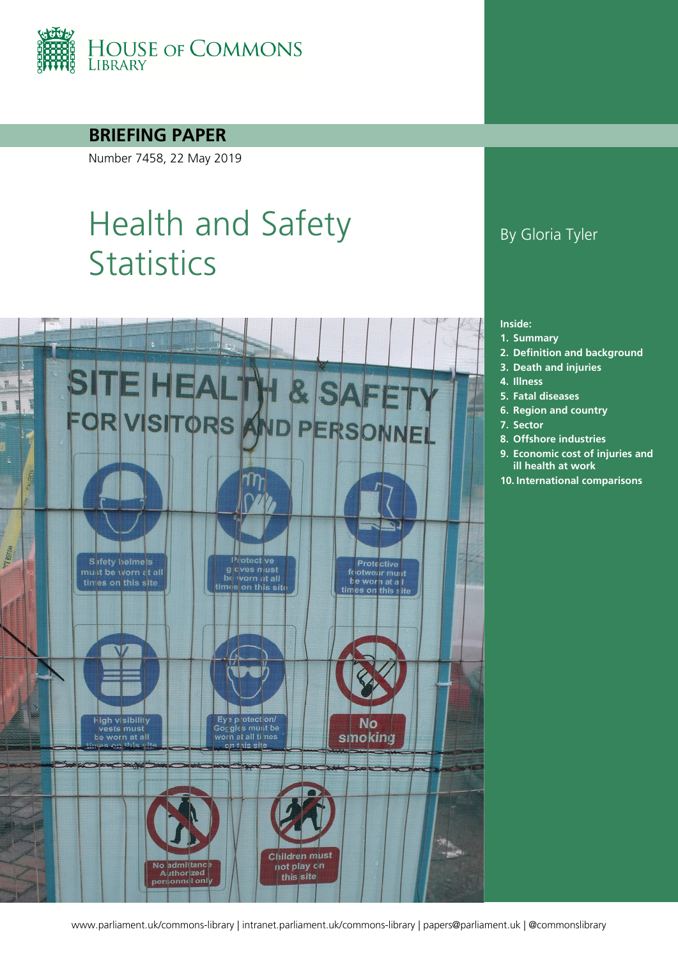

**BRIEFING PAPER**

Number 7458, 22 May 2019

# Health and Safety **Statistics**



#### By Gloria Tyler

#### **Inside:**

- **1. [Summary](#page-2-0)**
- **2. [Definition and background](#page-3-0)**
- **3. [Death and injuries](#page-4-0)**
- **4. [Illness](#page-6-0)**
- **5. [Fatal diseases](#page-8-0)**
- **6. [Region and country](#page-9-0)**
- **7. [Sector](#page-11-0)**
- **8. [Offshore industries](#page-13-0)**
- **9. [Economic cost of injuries and](#page-15-0)  [ill health at work](#page-15-0)**
- **10. [International comparisons](#page-17-0)**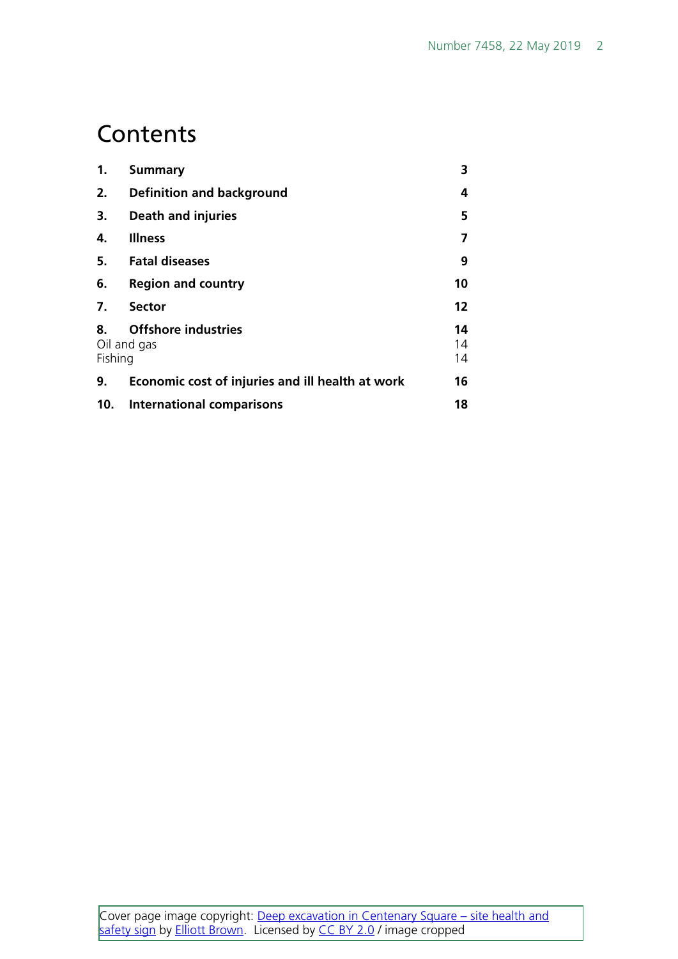#### **Contents**

| 1.                                                         | <b>Summary</b>                                   | 3              |
|------------------------------------------------------------|--------------------------------------------------|----------------|
| 2.                                                         | <b>Definition and background</b>                 | 4              |
| 3.                                                         | <b>Death and injuries</b>                        | 5              |
| 4.                                                         | <b>Illness</b>                                   | 7              |
| 5.                                                         | <b>Fatal diseases</b>                            | 9              |
| 6.                                                         | <b>Region and country</b>                        | 10             |
| 7.                                                         | <b>Sector</b>                                    | 12             |
| <b>Offshore industries</b><br>8.<br>Oil and gas<br>Fishing |                                                  | 14<br>14<br>14 |
| 9.                                                         | Economic cost of injuries and ill health at work | 16             |
| 10.                                                        | <b>International comparisons</b>                 | 18             |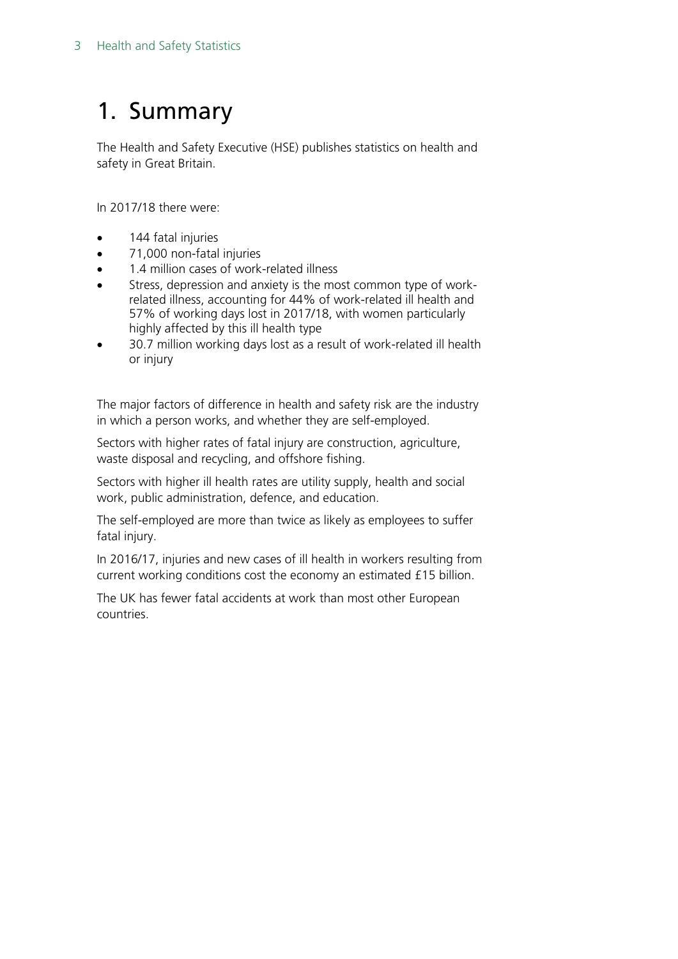## <span id="page-2-0"></span>1. Summary

The Health and Safety Executive (HSE) publishes statistics on health and safety in Great Britain.

In 2017/18 there were:

- 144 fatal injuries
- 71,000 non-fatal injuries
- 1.4 million cases of work-related illness
- Stress, depression and anxiety is the most common type of workrelated illness, accounting for 44% of work-related ill health and 57% of working days lost in 2017/18, with women particularly highly affected by this ill health type
- 30.7 million working days lost as a result of work-related ill health or injury

The major factors of difference in health and safety risk are the industry in which a person works, and whether they are self-employed.

Sectors with higher rates of fatal injury are construction, agriculture, waste disposal and recycling, and offshore fishing.

Sectors with higher ill health rates are utility supply, health and social work, public administration, defence, and education.

The self-employed are more than twice as likely as employees to suffer fatal injury.

In 2016/17, injuries and new cases of ill health in workers resulting from current working conditions cost the economy an estimated £15 billion.

The UK has fewer fatal accidents at work than most other European countries.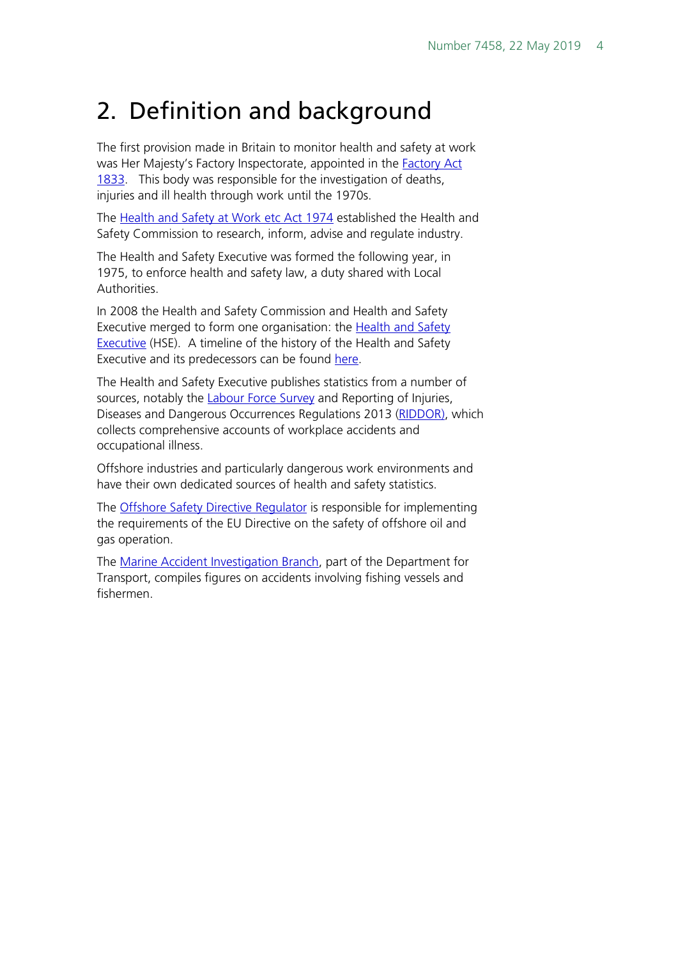#### <span id="page-3-0"></span>2. Definition and background

The first provision made in Britain to monitor health and safety at work was Her Majesty's Factory Inspectorate, appointed in the [Factory Act](https://www.parliament.uk/about/living-heritage/transformingsociety/livinglearning/19thcentury/overview/factoryact/) [1833.](https://www.parliament.uk/about/living-heritage/transformingsociety/livinglearning/19thcentury/overview/factoryact/) This body was responsible for the investigation of deaths, injuries and ill health through work until the 1970s.

The [Health and Safety at Work etc Act 1974](http://www.legislation.gov.uk/ukpga/1974/37) established the Health and Safety Commission to research, inform, advise and regulate industry.

The Health and Safety Executive was formed the following year, in 1975, to enforce health and safety law, a duty shared with Local Authorities.

In 2008 the Health and Safety Commission and Health and Safety Executive merged to form one organisation: the Health and Safety [Executive](http://www.hse.gov.uk/) (HSE). A timeline of the history of the Health and Safety Executive and its predecessors can be found [here.](http://www.hse.gov.uk/aboutus/timeline/index.htm)

The Health and Safety Executive publishes statistics from a number of sources, notably the **Labour Force Survey** and Reporting of Injuries, Diseases and Dangerous Occurrences Regulations 2013 [\(RIDDOR\)](http://www.hse.gov.uk/riddor/index.htm), which collects comprehensive accounts of workplace accidents and occupational illness.

Offshore industries and particularly dangerous work environments and have their own dedicated sources of health and safety statistics.

The [Offshore Safety Directive Regulator](http://www.hse.gov.uk/osdr/) is responsible for implementing the requirements of the EU Directive on the safety of offshore oil and gas operation.

The [Marine Accident Investigation Branch,](https://www.gov.uk/government/organisations/marine-accident-investigation-branch) part of the Department for Transport, compiles figures on accidents involving fishing vessels and fishermen.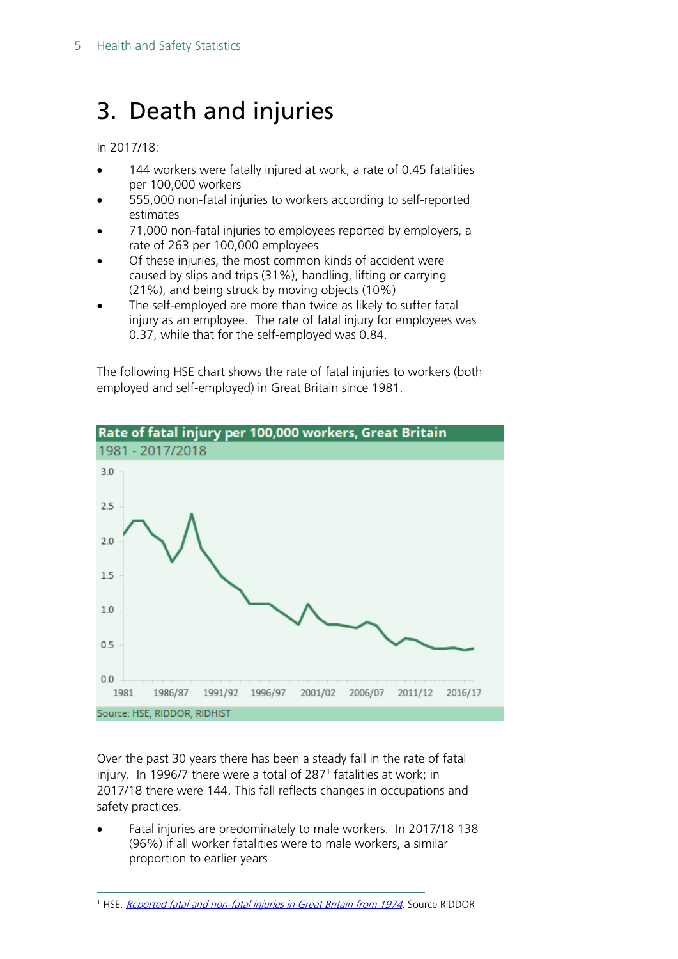### <span id="page-4-0"></span>3. Death and injuries

In 2017/18:

- 144 workers were fatally injured at work, a rate of 0.45 fatalities per 100,000 workers
- 555,000 non-fatal injuries to workers according to self-reported estimates
- 71,000 non-fatal injuries to employees reported by employers, a rate of 263 per 100,000 employees
- Of these injuries, the most common kinds of accident were caused by slips and trips (31%), handling, lifting or carrying (21%), and being struck by moving objects (10%)
- The self-employed are more than twice as likely to suffer fatal injury as an employee. The rate of fatal injury for employees was 0.37, while that for the self-employed was 0.84.

The following HSE chart shows the rate of fatal injuries to workers (both employed and self-employed) in Great Britain since 1981.



Over the past 30 years there has been a steady fall in the rate of fatal injury. In 1996/7 there were a total of 287[1](#page-4-1) fatalities at work; in 2017/18 there were 144. This fall reflects changes in occupations and safety practices.

• Fatal injuries are predominately to male workers. In 2017/18 138 (96%) if all worker fatalities were to male workers, a similar proportion to earlier years

<span id="page-4-1"></span><sup>&</sup>lt;sup>1</sup> HSE, [Reported fatal and non-fatal injuries in Great Britain from 1974](http://www.hse.gov.uk/statistics/tables/index.htm#riddor), Source RIDDOR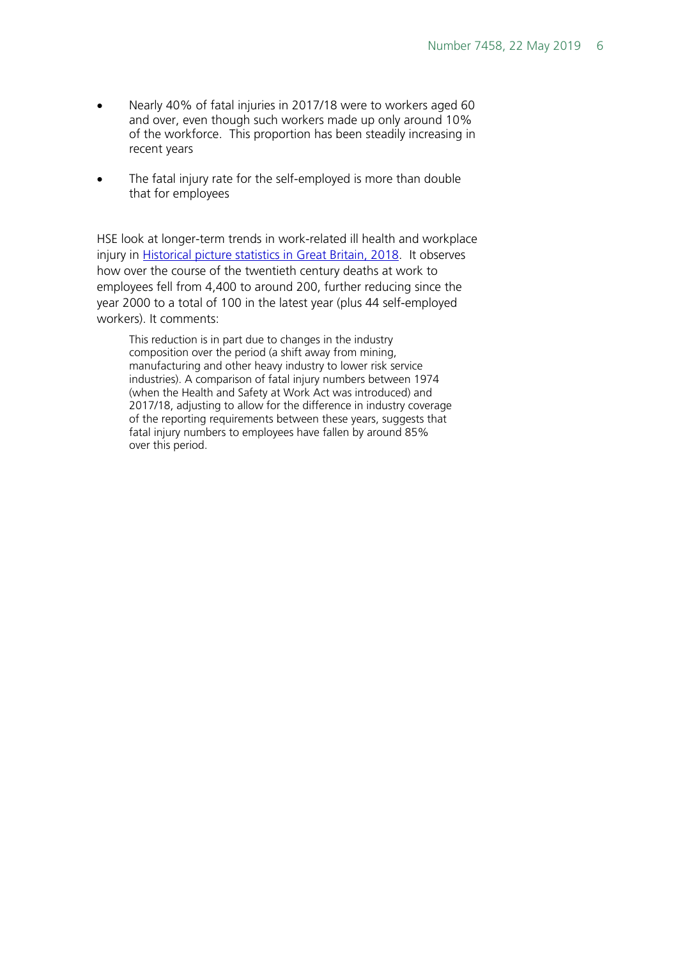- Nearly 40% of fatal injuries in 2017/18 were to workers aged 60 and over, even though such workers made up only around 10% of the workforce. This proportion has been steadily increasing in recent years
- The fatal injury rate for the self-employed is more than double that for employees

HSE look at longer-term trends in work-related ill health and workplace injury in **Historical picture statistics in Great Britain, 2018.** It observes how over the course of the twentieth century deaths at work to employees fell from 4,400 to around 200, further reducing since the year 2000 to a total of 100 in the latest year (plus 44 self-employed workers). It comments:

This reduction is in part due to changes in the industry composition over the period (a shift away from mining, manufacturing and other heavy industry to lower risk service industries). A comparison of fatal injury numbers between 1974 (when the Health and Safety at Work Act was introduced) and 2017/18, adjusting to allow for the difference in industry coverage of the reporting requirements between these years, suggests that fatal injury numbers to employees have fallen by around 85% over this period.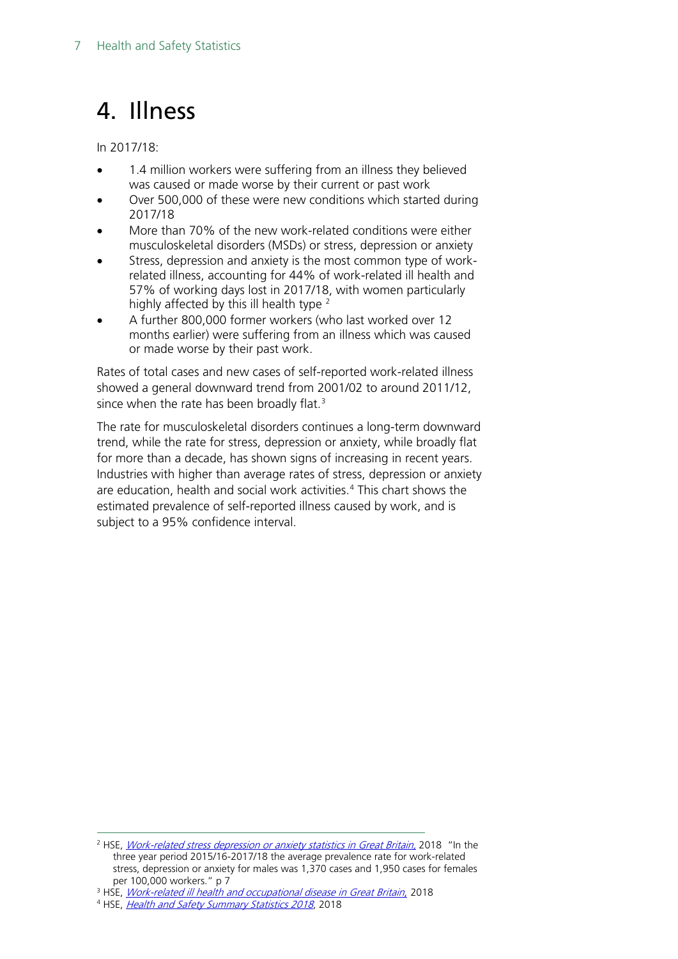### <span id="page-6-0"></span>4. Illness

In 2017/18:

- 1.4 million workers were suffering from an illness they believed was caused or made worse by their current or past work
- Over 500,000 of these were new conditions which started during 2017/18
- More than 70% of the new work-related conditions were either musculoskeletal disorders (MSDs) or stress, depression or anxiety
- Stress, depression and anxiety is the most common type of workrelated illness, accounting for 44% of work-related ill health and 57% of working days lost in 2017/18, with women particularly highly affected by this ill health type <sup>[2](#page-6-1)</sup>
- A further 800,000 former workers (who last worked over 12 months earlier) were suffering from an illness which was caused or made worse by their past work.

Rates of total cases and new cases of self-reported work-related illness showed a general downward trend from 2001/02 to around 2011/12, since when the rate has been broadly flat.<sup>[3](#page-6-2)</sup>

The rate for musculoskeletal disorders continues a long-term downward trend, while the rate for stress, depression or anxiety, while broadly flat for more than a decade, has shown signs of increasing in recent years. Industries with higher than average rates of stress, depression or anxiety are education, health and social work activities.<sup>4</sup> This chart shows the estimated prevalence of self-reported illness caused by work, and is subject to a 95% confidence interval.

<span id="page-6-1"></span><sup>&</sup>lt;sup>2</sup> HSE, *Work-related stress depression or anxiety statistics in Great Britain*, 2018 "In the three year period 2015/16-2017/18 the average prevalence rate for work-related stress, depression or anxiety for males was 1,370 cases and 1,950 cases for females per 100,000 workers." p 7

<span id="page-6-2"></span><sup>&</sup>lt;sup>3</sup> HSE, *[Work-related ill health and occupational disease in Great Britain](http://www.hse.gov.uk/statistics/causdis/index.htm)*, 2018

<span id="page-6-3"></span><sup>4</sup> HSE, [Health and Safety Summary Statistics 2018](http://www.hse.gov.uk/statistics/overall/hssh1718.pdf), 2018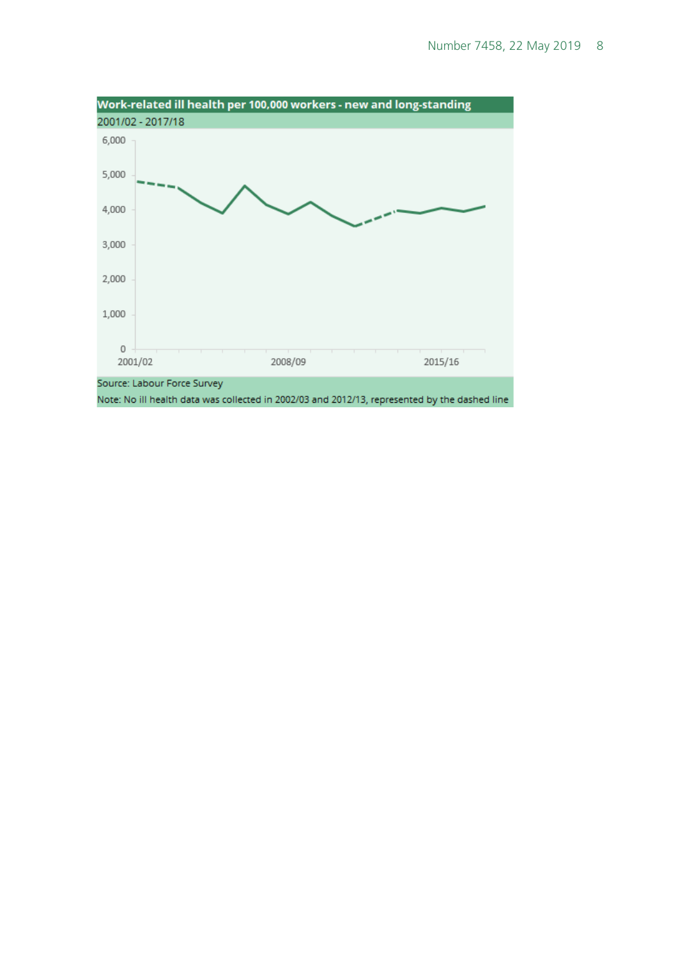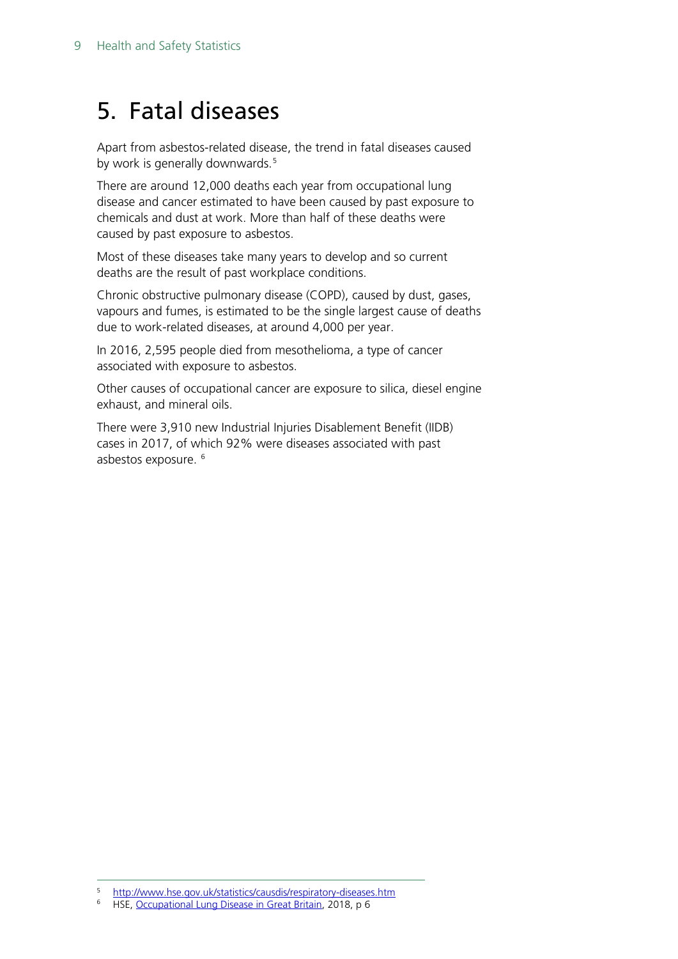### <span id="page-8-0"></span>5. Fatal diseases

Apart from asbestos-related disease, the trend in fatal diseases caused by work is generally downwards.<sup>[5](#page-8-1)</sup>

There are around 12,000 deaths each year from occupational lung disease and cancer estimated to have been caused by past exposure to chemicals and dust at work. More than half of these deaths were caused by past exposure to asbestos.

Most of these diseases take many years to develop and so current deaths are the result of past workplace conditions.

Chronic obstructive pulmonary disease (COPD), caused by dust, gases, vapours and fumes, is estimated to be the single largest cause of deaths due to work-related diseases, at around 4,000 per year.

In 2016, 2,595 people died from mesothelioma, a type of cancer associated with exposure to asbestos.

Other causes of occupational cancer are exposure to silica, diesel engine exhaust, and mineral oils.

There were 3,910 new Industrial Injuries Disablement Benefit (IIDB) cases in 2017, of which 92% were diseases associated with past asbestos exposure. [6](#page-8-2)

<span id="page-8-1"></span><sup>&</sup>lt;sup>5</sup> <http://www.hse.gov.uk/statistics/causdis/respiratory-diseases.htm><br><sup>6</sup> HSE Occupational Lung Disease in Great Britain, 2018, p.6

<span id="page-8-2"></span><sup>6</sup> HSE, [Occupational Lung Disease in Great Britain,](http://www.hse.gov.uk/statistics/causdis/respiratory-diseases.pdf) 2018, p 6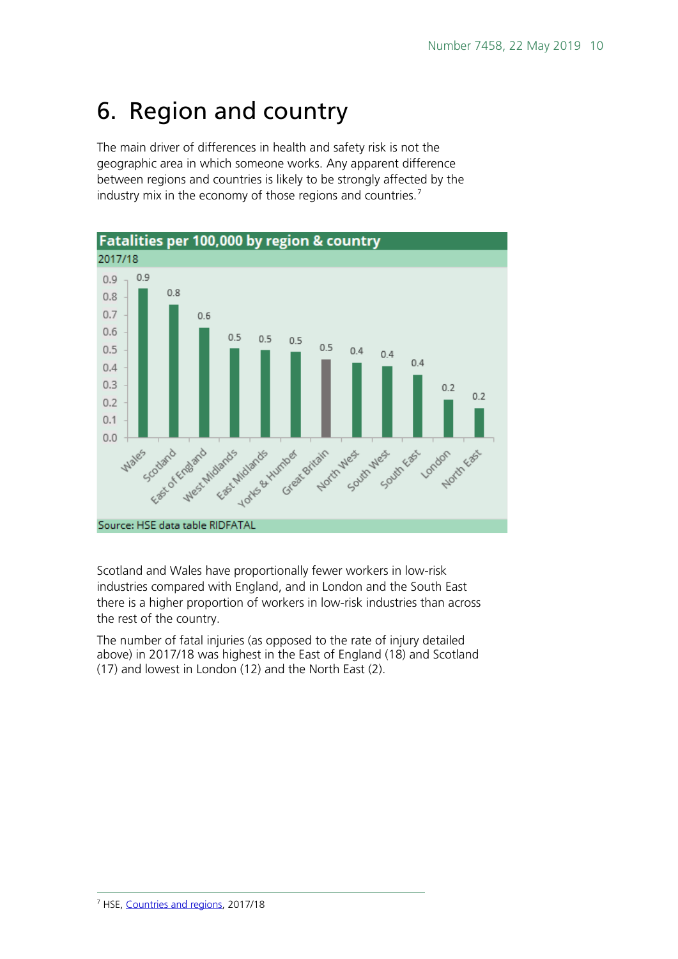## <span id="page-9-0"></span>6. Region and country

The main driver of differences in health and safety risk is not the geographic area in which someone works. Any apparent difference between regions and countries is likely to be strongly affected by the industry mix in the economy of those regions and countries.<sup>[7](#page-9-1)</sup>



Scotland and Wales have proportionally fewer workers in low-risk industries compared with England, and in London and the South East there is a higher proportion of workers in low-risk industries than across the rest of the country.

<span id="page-9-1"></span>The number of fatal injuries (as opposed to the rate of injury detailed above) in 2017/18 was highest in the East of England (18) and Scotland (17) and lowest in London (12) and the North East (2).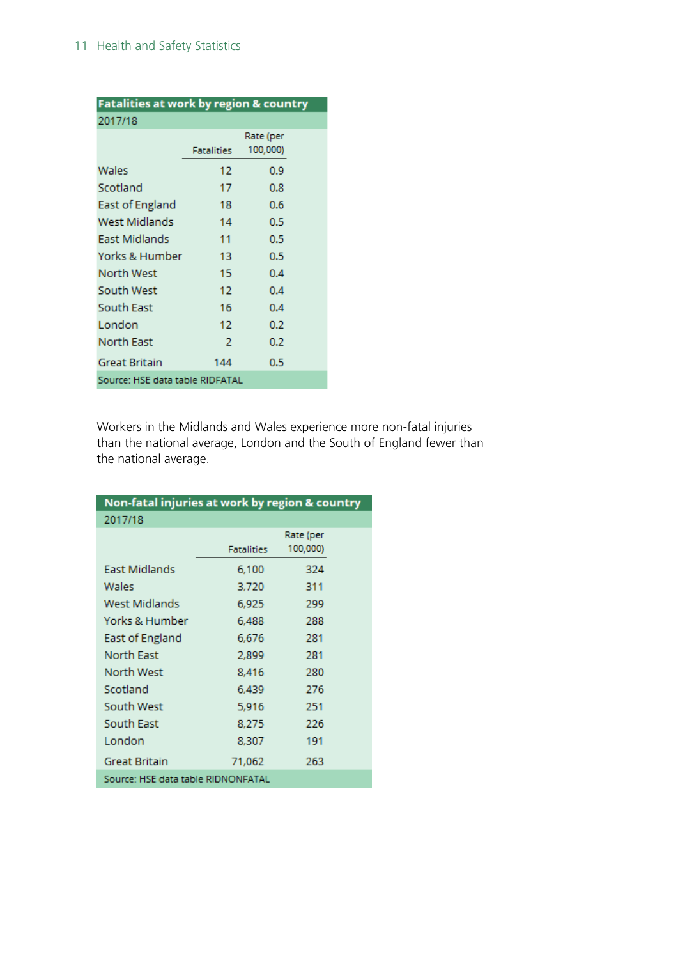| Fatalities at work by region & country |            |          |  |  |
|----------------------------------------|------------|----------|--|--|
| 2017/18                                |            |          |  |  |
|                                        | Rate (per  |          |  |  |
|                                        | Fatalities | 100,000) |  |  |
| Wales                                  | 12         | 0.9      |  |  |
| Scotland                               | 17         | 0.8      |  |  |
| East of England                        | 18         | 0.6      |  |  |
| West Midlands                          | 14         | 0.5      |  |  |
| East Midlands                          | 11         | 0.5      |  |  |
| Yorks & Humber                         | 13         | 0.5      |  |  |
| North West                             | 15         | 0.4      |  |  |
| South West                             | 12         | 0.4      |  |  |
| South East                             | 16         | 0.4      |  |  |
| London                                 | 12         | 0.2      |  |  |
| North East                             | 2          | 0.2      |  |  |
| Great Britain                          | 144        | 0.5      |  |  |
| Source: HSE data table RIDFATAL        |            |          |  |  |

Workers in the Midlands and Wales experience more non-fatal injuries than the national average, London and the South of England fewer than the national average.

| Non-fatal injuries at work by region & country |            |           |  |  |  |
|------------------------------------------------|------------|-----------|--|--|--|
| 2017/18                                        |            |           |  |  |  |
|                                                |            | Rate (per |  |  |  |
|                                                | Fatalities | 100,000)  |  |  |  |
| East Midlands                                  | 6,100      | 324       |  |  |  |
| Wales                                          | 3,720      | 311       |  |  |  |
| West Midlands                                  | 6,925      | 299       |  |  |  |
| Yorks & Humber                                 | 6,488      | 288       |  |  |  |
| East of England                                | 6,676      | 281       |  |  |  |
| North East                                     | 2,899      | 281       |  |  |  |
| North West                                     | 8.416      | 280       |  |  |  |
| Scotland                                       | 6.439      | 276       |  |  |  |
| South West                                     | 5,916      | 251       |  |  |  |
| South East                                     | 8,275      | 226       |  |  |  |
| London                                         | 8,307      | 191       |  |  |  |
| Great Britain                                  | 71,062     | 263       |  |  |  |
| Source: HSE data table RIDNONFATAL             |            |           |  |  |  |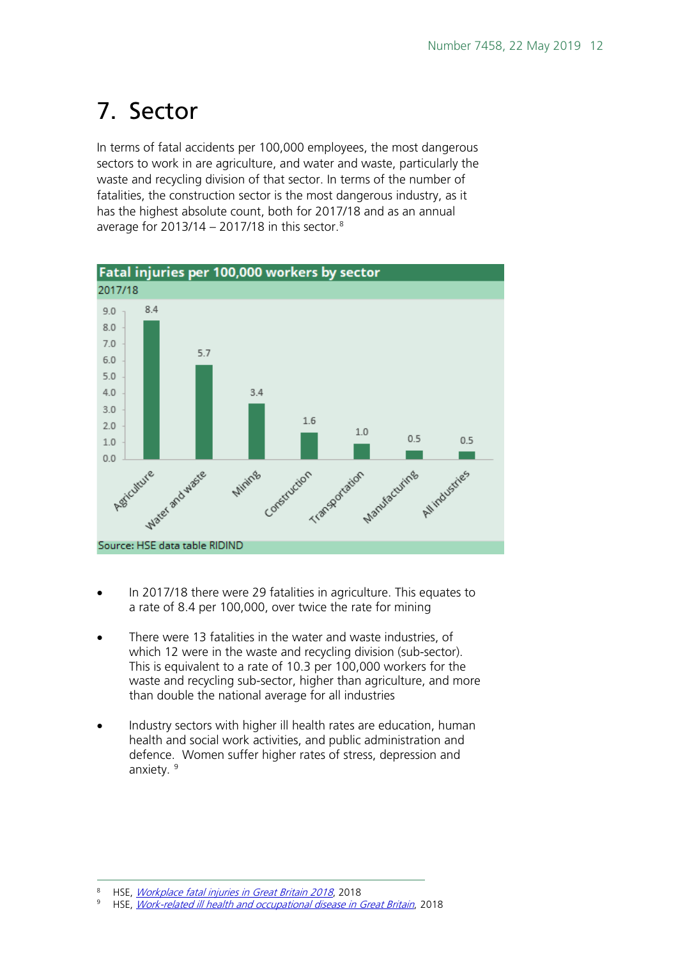## <span id="page-11-0"></span>7. Sector

In terms of fatal accidents per 100,000 employees, the most dangerous sectors to work in are agriculture, and water and waste, particularly the waste and recycling division of that sector. In terms of the number of fatalities, the construction sector is the most dangerous industry, as it has the highest absolute count, both for 2017/18 and as an annual average for  $2013/14 - 2017/18$  $2013/14 - 2017/18$  in this sector.<sup>8</sup>



- In 2017/18 there were 29 fatalities in agriculture. This equates to a rate of 8.4 per 100,000, over twice the rate for mining
- There were 13 fatalities in the water and waste industries, of which 12 were in the waste and recycling division (sub-sector). This is equivalent to a rate of 10.3 per 100,000 workers for the waste and recycling sub-sector, higher than agriculture, and more than double the national average for all industries
- Industry sectors with higher ill health rates are education, human health and social work activities, and public administration and defence. Women suffer higher rates of stress, depression and anxiety.<sup>[9](#page-11-2)</sup>

<span id="page-11-1"></span><sup>&</sup>lt;sup>8</sup> HSE, *[Workplace fatal injuries in Great Britain 2018](http://www.hse.gov.uk/statistics/pdf/fatalinjuries.pdf)*, 2018<br><sup>9</sup> HISE, *Work related ill bootth and occupational dioases in t* 

<span id="page-11-2"></span><sup>9</sup> HSE, [Work-related ill health and occupational disease in Great Britain](http://www.hse.gov.uk/statistics/causdis/index.htm), 2018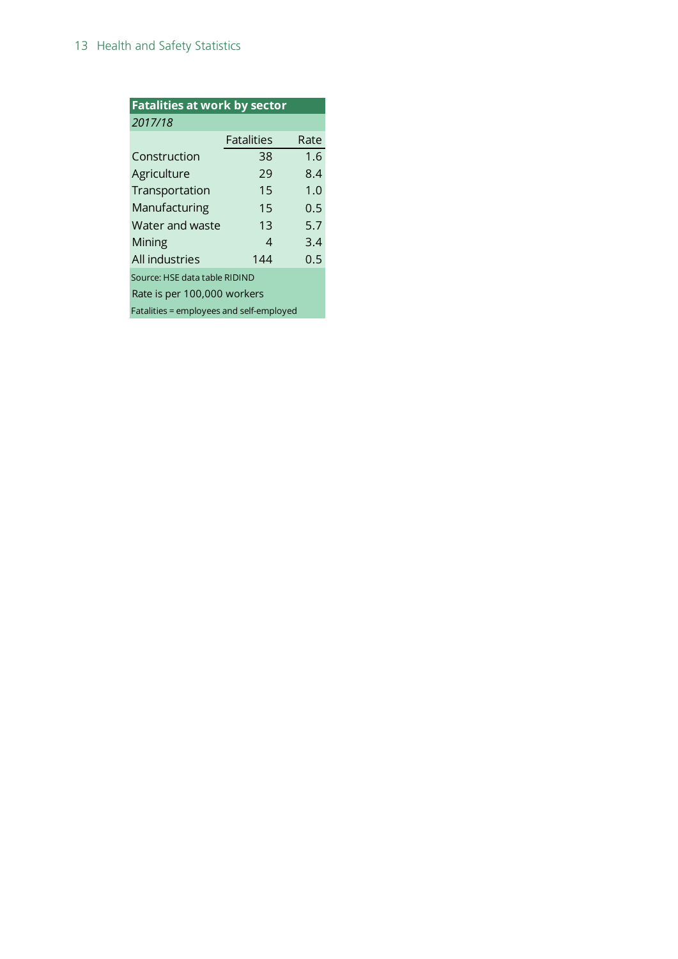| <b>Fatalities at work by sector</b>      |                   |      |  |  |
|------------------------------------------|-------------------|------|--|--|
| 2017/18                                  |                   |      |  |  |
|                                          | <b>Fatalities</b> | Rate |  |  |
| Construction                             | 38                | 1.6  |  |  |
| Agriculture                              | 29                | 8.4  |  |  |
| Transportation                           | 15                | 1.0  |  |  |
| Manufacturing                            | 15                | 0.5  |  |  |
| Water and waste                          | 13                | 5.7  |  |  |
| Mining                                   | 4                 | 3.4  |  |  |
| All industries                           | 144               | 0.5  |  |  |
| Source: HSE data table RIDIND            |                   |      |  |  |
| Rate is per 100,000 workers              |                   |      |  |  |
| Fatalities = employees and self-employed |                   |      |  |  |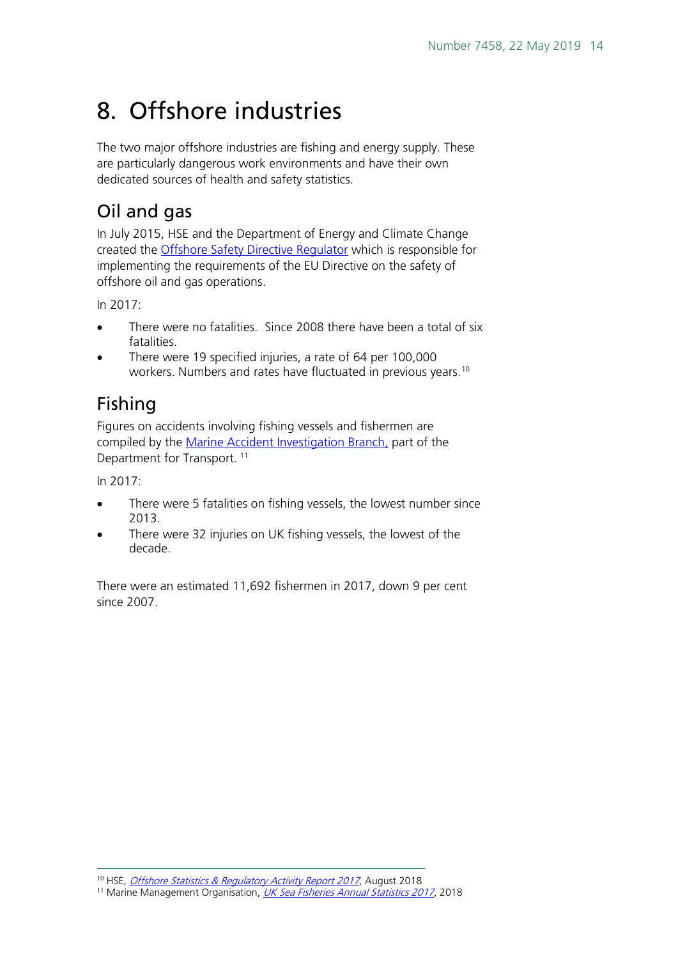## <span id="page-13-0"></span>8. Offshore industries

The two major offshore industries are fishing and energy supply. These are particularly dangerous work environments and have their own dedicated sources of health and safety statistics.

#### <span id="page-13-1"></span>Oil and gas

In July 2015, HSE and the Department of Energy and Climate Change created the [Offshore Safety Directive Regulator](http://www.hse.gov.uk/osdr/authority/index.htm) which is responsible for implementing the requirements of the EU Directive on the safety of offshore oil and gas operations.

In 2017:

- There were no fatalities. Since 2008 there have been a total of six fatalities.
- There were 19 specified injuries, a rate of 64 per 100,000 workers. Numbers and rates have fluctuated in previous years.<sup>[10](#page-13-3)</sup>

#### <span id="page-13-2"></span>Fishing

Figures on accidents involving fishing vessels and fishermen are compiled by the [Marine Accident Investigation Branch,](https://www.gov.uk/government/organisations/marine-accident-investigation-branch) part of the Department for Transport.<sup>[11](#page-13-4)</sup>

In 2017:

- There were 5 fatalities on fishing vessels, the lowest number since 2013.
- There were 32 injuries on UK fishing vessels, the lowest of the decade.

There were an estimated 11,692 fishermen in 2017, down 9 per cent since 2007.

<sup>&</sup>lt;sup>10</sup> HSE, [Offshore Statistics & Regulatory Activity Report 2017](http://www.hse.gov.uk/offshore/statistics/hsr2017.pdf), August 2018

<span id="page-13-4"></span><span id="page-13-3"></span><sup>&</sup>lt;sup>11</sup> Marine Management Organisation, *[UK Sea Fisheries Annual Statistics 2017](https://assets.publishing.service.gov.uk/government/uploads/system/uploads/attachment_data/file/742793/UK_Sea_Fisheries_Statistics_2017.pdf)*, 2018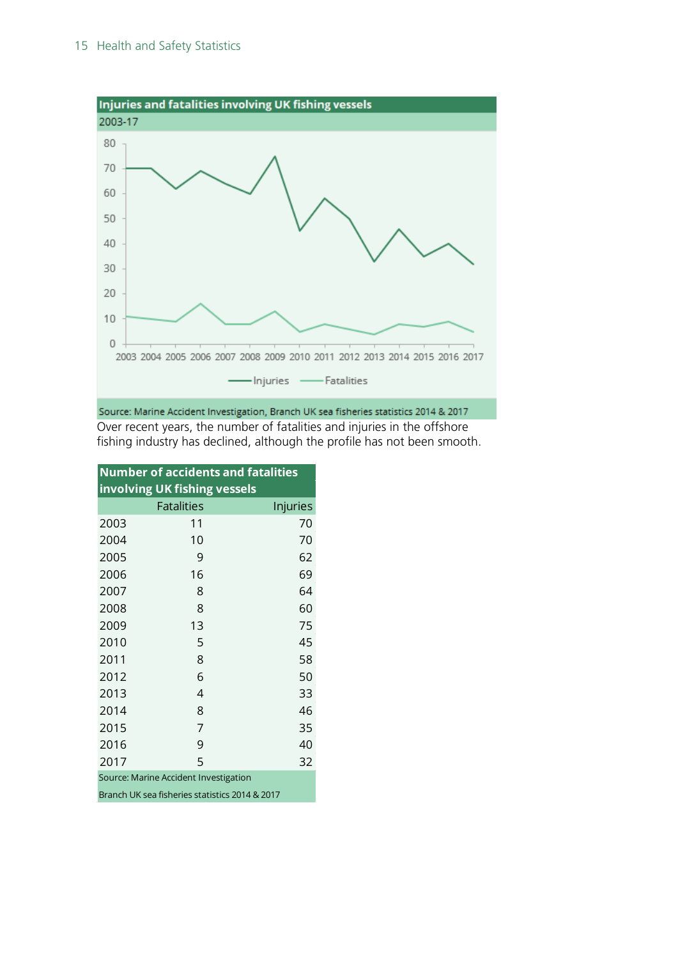

Source: Marine Accident Investigation, Branch UK sea fisheries statistics 2014 & 2017 Over recent years, the number of fatalities and injuries in the offshore fishing industry has declined, although the profile has not been smooth.

| <b>Number of accidents and fatalities</b> |                   |          |  |  |  |
|-------------------------------------------|-------------------|----------|--|--|--|
| involving UK fishing vessels              |                   |          |  |  |  |
|                                           | <b>Fatalities</b> | Injuries |  |  |  |
| 2003                                      | 11                | 70       |  |  |  |
| 2004                                      | 10                | 70       |  |  |  |
| 2005                                      | 9                 | 62       |  |  |  |
| 2006                                      | 16                | 69       |  |  |  |
| 2007                                      | 8                 | 64       |  |  |  |
| 2008                                      | 8                 | 60       |  |  |  |
| 2009                                      | 13                | 75       |  |  |  |
| 2010                                      | 5                 | 45       |  |  |  |
| 2011                                      | 8                 | 58       |  |  |  |
| 2012                                      | 6                 | 50       |  |  |  |
| 2013                                      | 4                 | 33       |  |  |  |
| 2014                                      | 8                 | 46       |  |  |  |
| 2015                                      | 7                 | 35       |  |  |  |
| 2016                                      | 9                 | 40       |  |  |  |
| 2017                                      | 5                 | 32       |  |  |  |
| Source: Marine Accident Investigation     |                   |          |  |  |  |

Branch UK sea fisheries statistics 2014 & 2017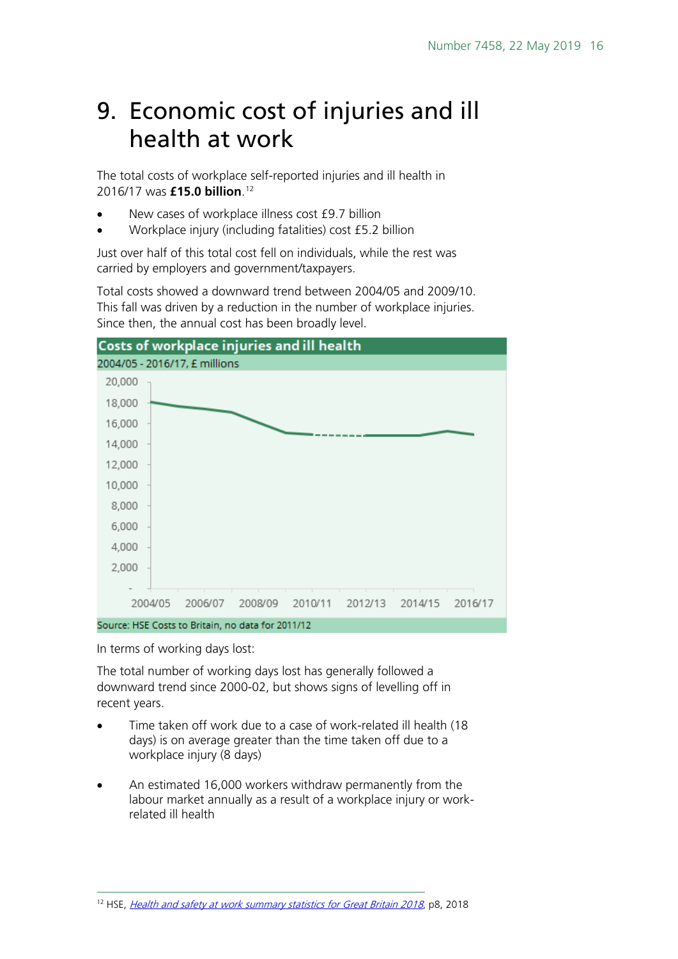#### <span id="page-15-0"></span>9. Economic cost of injuries and ill health at work

The total costs of workplace self-reported injuries and ill health in 2016/17 was **£15.0 billion**. [12](#page-15-1)

- New cases of workplace illness cost £9.7 billion
- Workplace injury (including fatalities) cost £5.2 billion

Just over half of this total cost fell on individuals, while the rest was carried by employers and government/taxpayers.

Total costs showed a downward trend between 2004/05 and 2009/10. This fall was driven by a reduction in the number of workplace injuries. Since then, the annual cost has been broadly level.



In terms of working days lost:

The total number of working days lost has generally followed a downward trend since 2000-02, but shows signs of levelling off in recent years.

- Time taken off work due to a case of work-related ill health (18 days) is on average greater than the time taken off due to a workplace injury (8 days)
- An estimated 16,000 workers withdraw permanently from the labour market annually as a result of a workplace injury or workrelated ill health

<span id="page-15-1"></span><sup>&</sup>lt;sup>12</sup> HSE, *[Health and safety at work summary statistics for Great Britain 2018](http://www.hse.gov.uk/statistics/overall/hssh1718.pdf)*, p8, 2018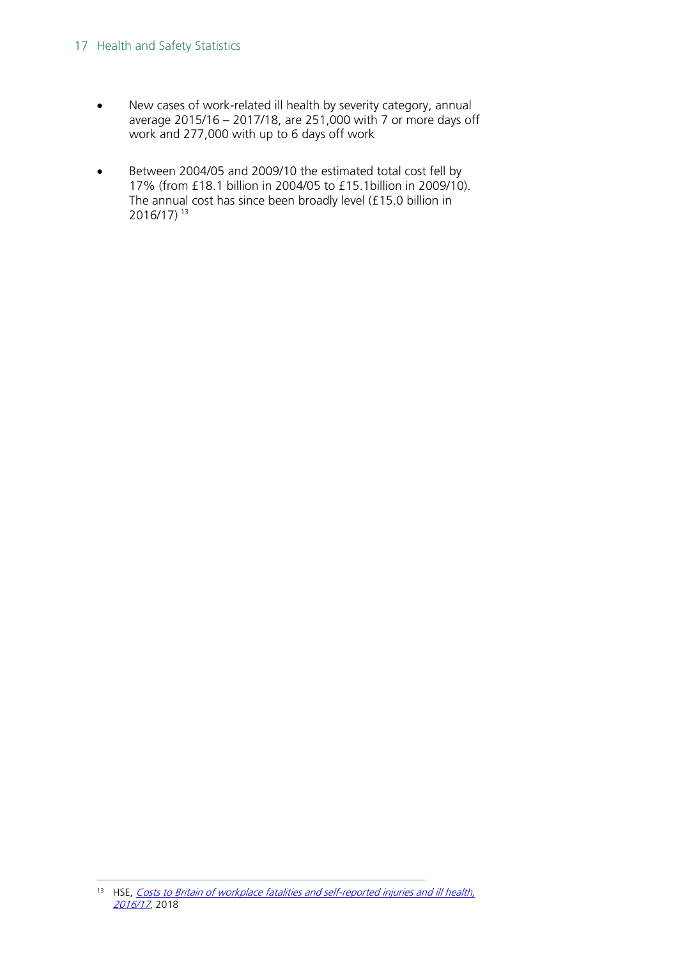#### 17 Health and Safety Statistics

- New cases of work-related ill health by severity category, annual average 2015/16 – 2017/18, are 251,000 with 7 or more days off work and 277,000 with up to 6 days off work
- Between 2004/05 and 2009/10 the estimated total cost fell by 17% (from £18.1 billion in 2004/05 to £15.1billion in 2009/10). The annual cost has since been broadly level (£15.0 billion in 2016/17) [13](#page-16-0)

<span id="page-16-0"></span><sup>&</sup>lt;sup>13</sup> HSE, Costs to Britain of workplace fatalities and self-reported injuries and ill health, [2016/17](http://www.hse.gov.uk/statistics/pdf/cost-to-britain.pdf), 2018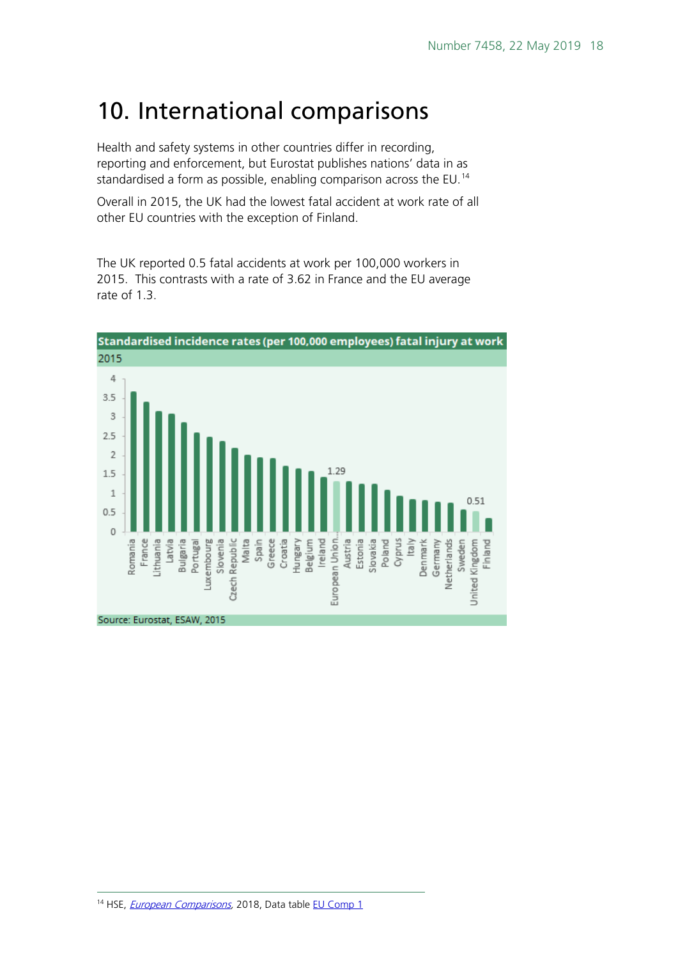#### <span id="page-17-0"></span>10. International comparisons

Health and safety systems in other countries differ in recording, reporting and enforcement, but Eurostat publishes nations' data in as standardised a form as possible, enabling comparison across the EU.<sup>[14](#page-17-1)</sup>

Overall in 2015, the UK had the lowest fatal accident at work rate of all other EU countries with the exception of Finland.

The UK reported 0.5 fatal accidents at work per 100,000 workers in 2015. This contrasts with a rate of 3.62 in France and the EU average rate of 1.3

<span id="page-17-1"></span>